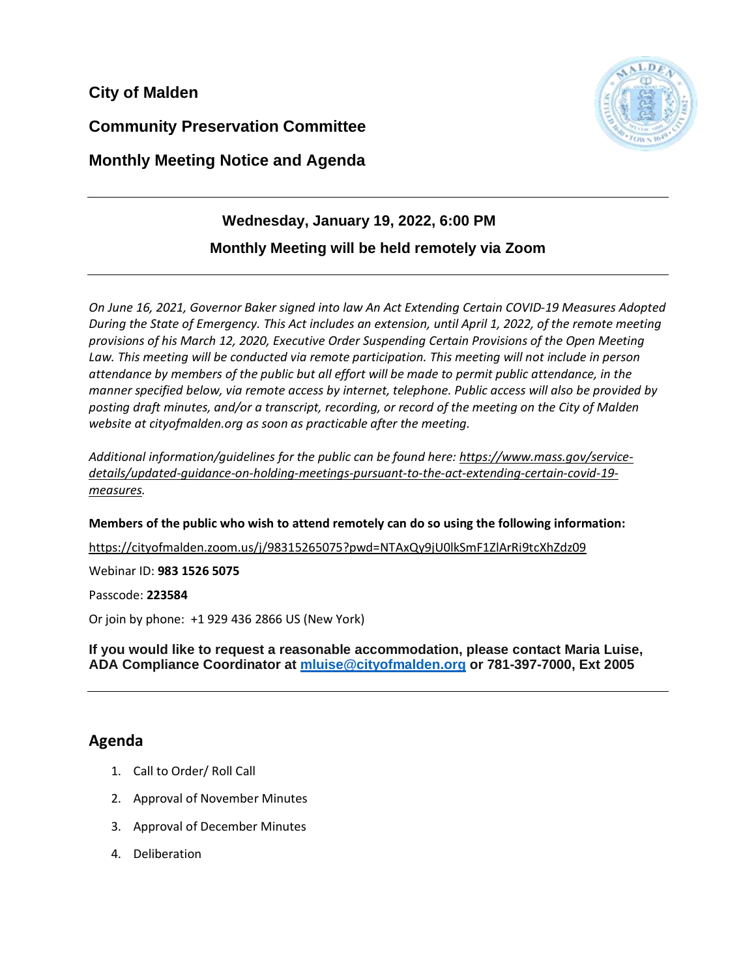**Community Preservation Committee**



## **Monthly Meeting Notice and Agenda**

## **Wednesday, January 19, 2022, 6:00 PM Monthly Meeting will be held remotely via Zoom**

*On June 16, 2021, Governor Baker signed into law An Act Extending Certain COVID-19 Measures Adopted* During the State of Emergency. This Act includes an extension, until April 1, 2022, of the remote meeting *provisions of his March 12, 2020, Executive Order Suspending Certain Provisions of the Open Meeting Law. This meeting will be conducted via remote participation. This meeting will not include in person* attendance by members of the public but all effort will be made to permit public attendance, in the *manner specified below, via remote access by internet, telephone. Public access will also be provided by posting draft minutes, and/or a transcript, recording, or record of the meeting on the City of Malden website at cityofmalden.org as soon as practicable after the meeting.*

*Additional information/guidelines for the public can be found here: [https://www.mass.gov/service](https://www.mass.gov/service-details/updated-guidance-on-holding-meetings-pursuant-to-the-act-extending-certain-covid-19-measures)[details/updated-guidance-on-holding-meetings-pursuant-to-the-act-extending-certain-covid-19](https://www.mass.gov/service-details/updated-guidance-on-holding-meetings-pursuant-to-the-act-extending-certain-covid-19-measures) [measures.](https://www.mass.gov/service-details/updated-guidance-on-holding-meetings-pursuant-to-the-act-extending-certain-covid-19-measures)*

**Members of the public who wish to attend remotely can do so using the following information:**

<https://cityofmalden.zoom.us/j/98315265075?pwd=NTAxQy9jU0lkSmF1ZlArRi9tcXhZdz09>

Webinar ID: **983 1526 5075**

Passcode: **223584**

Or join by phone: +1 929 436 2866 US (New York)

**If you would like to request a reasonable accommodation, please contact Maria Luise, ADA Compliance Coordinator at [mluise@cityofmalden.org](mailto:mluise@cityofmalden.org) or 781-397-7000, Ext 2005**

## **Agenda**

- 1. Call to Order/ Roll Call
- 2. Approval of November Minutes
- 3. Approval of December Minutes
- 4. Deliberation